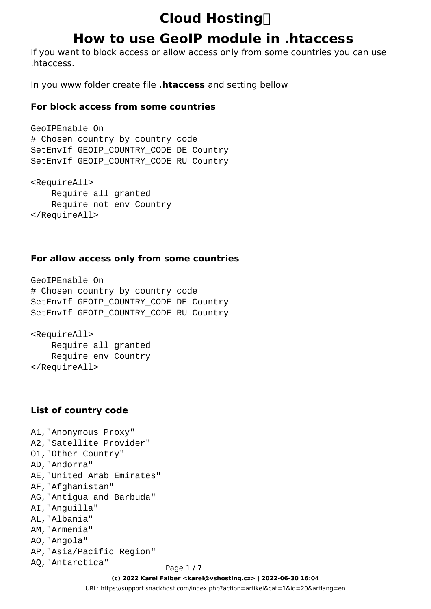## **How to use GeoIP module in .htaccess**

If you want to block access or allow access only from some countries you can use .htaccess.

In you www folder create file **.htaccess** and setting bellow

#### **For block access from some countries**

```
GeoIPEnable On
# Chosen country by country code
SetEnvIf GEOIP_COUNTRY_CODE DE Country
SetEnvIf GEOIP_COUNTRY_CODE RU Country
<RequireAll>
    Require all granted
     Require not env Country
```
</RequireAll>

#### **For allow access only from some countries**

```
GeoIPEnable On
# Chosen country by country code
SetEnvIf GEOIP_COUNTRY_CODE DE Country
SetEnvIf GEOIP_COUNTRY_CODE RU Country
<RequireAll>
```
 Require all granted Require env Country </RequireAll>

#### **List of country code**

A1,"Anonymous Proxy" A2,"Satellite Provider" O1,"Other Country" AD,"Andorra" AE,"United Arab Emirates" AF,"Afghanistan" AG,"Antigua and Barbuda" AI,"Anguilla" AL,"Albania" AM,"Armenia" AO,"Angola" AP,"Asia/Pacific Region" AQ, "Antarctica" Page 1/7

**(c) 2022 Karel Falber <karel@vshosting.cz> | 2022-06-30 16:04** [URL: https://support.snackhost.com/index.php?action=artikel&cat=1&id=20&artlang=en](https://support.snackhost.com/index.php?action=artikel&cat=1&id=20&artlang=en)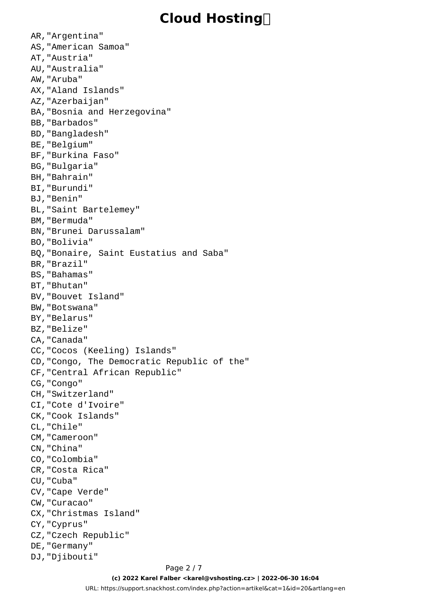AR,"Argentina" AS,"American Samoa" AT,"Austria" AU,"Australia" AW,"Aruba" AX,"Aland Islands" AZ,"Azerbaijan" BA,"Bosnia and Herzegovina" BB,"Barbados" BD,"Bangladesh" BE,"Belgium" BF,"Burkina Faso" BG,"Bulgaria" BH,"Bahrain" BI,"Burundi" BJ,"Benin" BL,"Saint Bartelemey" BM,"Bermuda" BN,"Brunei Darussalam" BO,"Bolivia" BQ,"Bonaire, Saint Eustatius and Saba" BR,"Brazil" BS,"Bahamas" BT,"Bhutan" BV,"Bouvet Island" BW,"Botswana" BY,"Belarus" BZ,"Belize" CA,"Canada" CC,"Cocos (Keeling) Islands" CD,"Congo, The Democratic Republic of the" CF,"Central African Republic" CG,"Congo" CH,"Switzerland" CI,"Cote d'Ivoire" CK,"Cook Islands" CL,"Chile" CM,"Cameroon" CN,"China" CO,"Colombia" CR,"Costa Rica" CU,"Cuba" CV,"Cape Verde" CW,"Curacao" CX,"Christmas Island" CY,"Cyprus" CZ,"Czech Republic" DE,"Germany" DJ,"Djibouti"

**(c) 2022 Karel Falber <karel@vshosting.cz> | 2022-06-30 16:04** [URL: https://support.snackhost.com/index.php?action=artikel&cat=1&id=20&artlang=en](https://support.snackhost.com/index.php?action=artikel&cat=1&id=20&artlang=en)

#### Page 2 / 7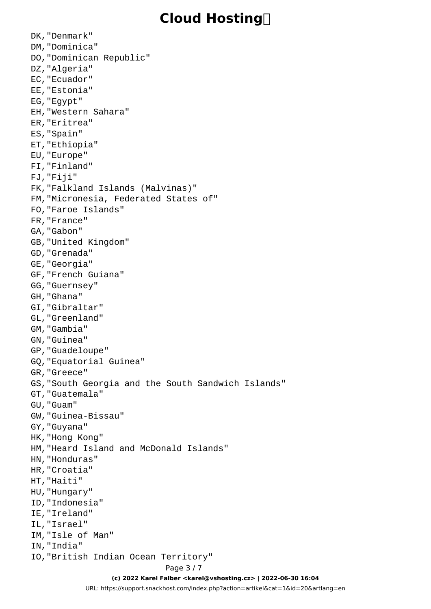DK,"Denmark" DM,"Dominica" DO,"Dominican Republic" DZ,"Algeria" EC,"Ecuador" EE,"Estonia" EG,"Egypt" EH,"Western Sahara" ER,"Eritrea" ES,"Spain" ET,"Ethiopia" EU,"Europe" FI,"Finland" FJ,"Fiji" FK,"Falkland Islands (Malvinas)" FM,"Micronesia, Federated States of" FO,"Faroe Islands" FR,"France" GA,"Gabon" GB,"United Kingdom" GD,"Grenada" GE,"Georgia" GF,"French Guiana" GG,"Guernsey" GH,"Ghana" GI,"Gibraltar" GL,"Greenland" GM,"Gambia" GN,"Guinea" GP,"Guadeloupe" GQ,"Equatorial Guinea" GR,"Greece" GS,"South Georgia and the South Sandwich Islands" GT,"Guatemala" GU,"Guam" GW,"Guinea-Bissau" GY,"Guyana" HK,"Hong Kong" HM,"Heard Island and McDonald Islands" HN,"Honduras" HR,"Croatia" HT,"Haiti" HU,"Hungary" ID,"Indonesia" IE,"Ireland" IL,"Israel" IM,"Isle of Man" IN,"India" IO,"British Indian Ocean Territory" Page 3 / 7 **(c) 2022 Karel Falber <karel@vshosting.cz> | 2022-06-30 16:04**

[URL: https://support.snackhost.com/index.php?action=artikel&cat=1&id=20&artlang=en](https://support.snackhost.com/index.php?action=artikel&cat=1&id=20&artlang=en)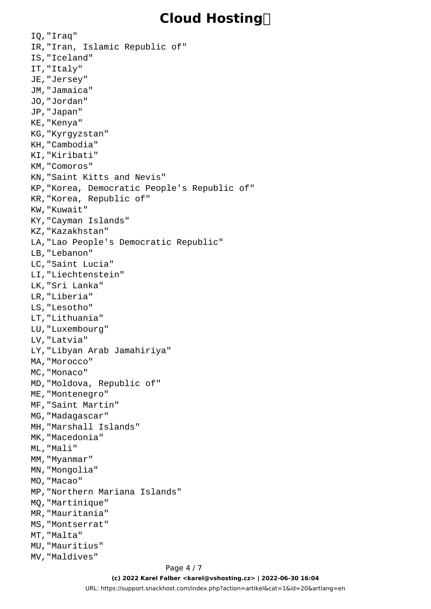IQ,"Iraq" IR,"Iran, Islamic Republic of" IS,"Iceland" IT,"Italy" JE,"Jersey" JM,"Jamaica" JO,"Jordan" JP,"Japan" KE,"Kenya" KG,"Kyrgyzstan" KH,"Cambodia" KI,"Kiribati" KM,"Comoros" KN,"Saint Kitts and Nevis" KP,"Korea, Democratic People's Republic of" KR,"Korea, Republic of" KW,"Kuwait" KY,"Cayman Islands" KZ,"Kazakhstan" LA,"Lao People's Democratic Republic" LB,"Lebanon" LC,"Saint Lucia" LI,"Liechtenstein" LK,"Sri Lanka" LR,"Liberia" LS,"Lesotho" LT,"Lithuania" LU,"Luxembourg" LV,"Latvia" LY,"Libyan Arab Jamahiriya" MA,"Morocco" MC,"Monaco" MD,"Moldova, Republic of" ME,"Montenegro" MF,"Saint Martin" MG,"Madagascar" MH,"Marshall Islands" MK,"Macedonia" ML,"Mali" MM, "Myanmar" MN,"Mongolia" MO,"Macao" MP,"Northern Mariana Islands" MQ,"Martinique" MR,"Mauritania" MS,"Montserrat" MT,"Malta" MU,"Mauritius" MV,"Maldives"

Page 4 / 7 **(c) 2022 Karel Falber <karel@vshosting.cz> | 2022-06-30 16:04** [URL: https://support.snackhost.com/index.php?action=artikel&cat=1&id=20&artlang=en](https://support.snackhost.com/index.php?action=artikel&cat=1&id=20&artlang=en)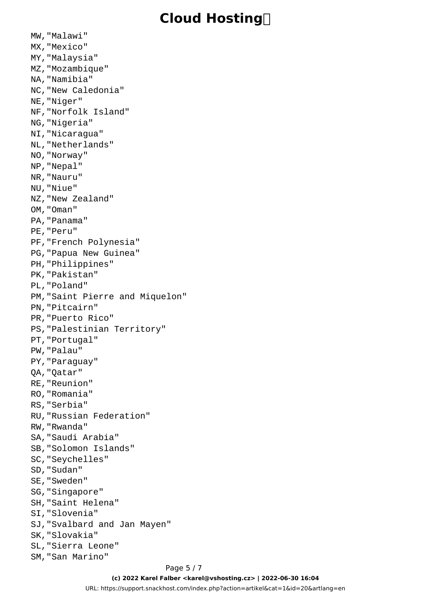MW,"Malawi" MX,"Mexico" MY,"Malaysia" MZ,"Mozambique" NA,"Namibia" NC,"New Caledonia" NE,"Niger" NF,"Norfolk Island" NG,"Nigeria" NI,"Nicaragua" NL,"Netherlands" NO,"Norway" NP,"Nepal" NR,"Nauru" NU,"Niue" NZ,"New Zealand" OM,"Oman" PA,"Panama" PE,"Peru" PF,"French Polynesia" PG,"Papua New Guinea" PH,"Philippines" PK,"Pakistan" PL,"Poland" PM,"Saint Pierre and Miquelon" PN,"Pitcairn" PR,"Puerto Rico" PS,"Palestinian Territory" PT,"Portugal" PW,"Palau" PY,"Paraguay" QA,"Qatar" RE,"Reunion" RO,"Romania" RS,"Serbia" RU,"Russian Federation" RW,"Rwanda" SA,"Saudi Arabia" SB,"Solomon Islands" SC,"Seychelles" SD,"Sudan" SE,"Sweden" SG,"Singapore" SH,"Saint Helena" SI,"Slovenia" SJ,"Svalbard and Jan Mayen" SK,"Slovakia" SL,"Sierra Leone" SM,"San Marino"

#### Page 5 / 7 **(c) 2022 Karel Falber <karel@vshosting.cz> | 2022-06-30 16:04**

[URL: https://support.snackhost.com/index.php?action=artikel&cat=1&id=20&artlang=en](https://support.snackhost.com/index.php?action=artikel&cat=1&id=20&artlang=en)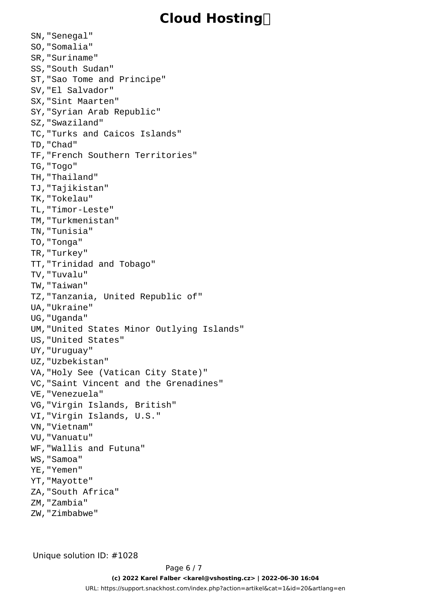SN,"Senegal" SO,"Somalia" SR,"Suriname" SS,"South Sudan" ST,"Sao Tome and Principe" SV,"El Salvador" SX,"Sint Maarten" SY,"Syrian Arab Republic" SZ,"Swaziland" TC,"Turks and Caicos Islands" TD,"Chad" TF,"French Southern Territories" TG,"Togo" TH,"Thailand" TJ,"Tajikistan" TK,"Tokelau" TL,"Timor-Leste" TM,"Turkmenistan" TN,"Tunisia" TO,"Tonga" TR,"Turkey" TT,"Trinidad and Tobago" TV,"Tuvalu" TW,"Taiwan" TZ,"Tanzania, United Republic of" UA,"Ukraine" UG,"Uganda" UM,"United States Minor Outlying Islands" US,"United States" UY,"Uruguay" UZ,"Uzbekistan" VA,"Holy See (Vatican City State)" VC,"Saint Vincent and the Grenadines" VE,"Venezuela" VG,"Virgin Islands, British" VI,"Virgin Islands, U.S." VN,"Vietnam" VU,"Vanuatu" WF,"Wallis and Futuna" WS,"Samoa" YE,"Yemen" YT,"Mayotte" ZA,"South Africa" ZM,"Zambia" ZW,"Zimbabwe"

Unique solution ID: #1028